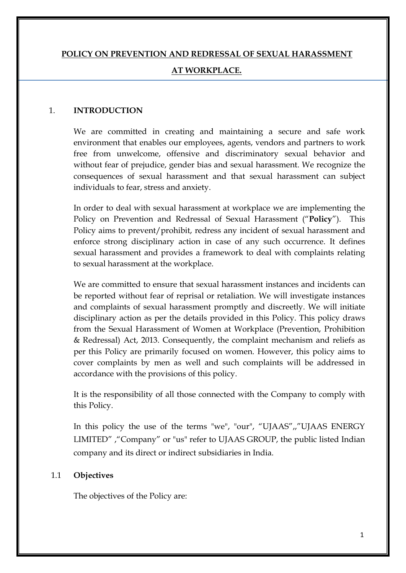# **POLICY ON PREVENTION AND REDRESSAL OF SEXUAL HARASSMENT AT WORKPLACE.**

#### 1. **INTRODUCTION**

We are committed in creating and maintaining a secure and safe work environment that enables our employees, agents, vendors and partners to work free from unwelcome, offensive and discriminatory sexual behavior and without fear of prejudice, gender bias and sexual harassment. We recognize the consequences of sexual harassment and that sexual harassment can subject individuals to fear, stress and anxiety.

In order to deal with sexual harassment at workplace we are implementing the Policy on Prevention and Redressal of Sexual Harassment ("**Policy**"). This Policy aims to prevent/prohibit, redress any incident of sexual harassment and enforce strong disciplinary action in case of any such occurrence. It defines sexual harassment and provides a framework to deal with complaints relating to sexual harassment at the workplace.

We are committed to ensure that sexual harassment instances and incidents can be reported without fear of reprisal or retaliation. We will investigate instances and complaints of sexual harassment promptly and discreetly. We will initiate disciplinary action as per the details provided in this Policy. This policy draws from the Sexual Harassment of Women at Workplace (Prevention, Prohibition & Redressal) Act, 2013. Consequently, the complaint mechanism and reliefs as per this Policy are primarily focused on women. However, this policy aims to cover complaints by men as well and such complaints will be addressed in accordance with the provisions of this policy.

It is the responsibility of all those connected with the Company to comply with this Policy.

In this policy the use of the terms "we", "our", "UJAAS",,"UJAAS ENERGY LIMITED" ,"Company" or "us" refer to UJAAS GROUP, the public listed Indian company and its direct or indirect subsidiaries in India.

#### 1.1 **Objectives**

The objectives of the Policy are: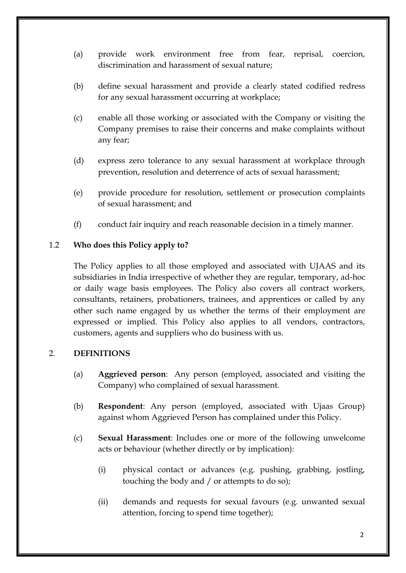- (a) provide work environment free from fear, reprisal, coercion, discrimination and harassment of sexual nature;
- (b) define sexual harassment and provide a clearly stated codified redress for any sexual harassment occurring at workplace;
- (c) enable all those working or associated with the Company or visiting the Company premises to raise their concerns and make complaints without any fear;
- (d) express zero tolerance to any sexual harassment at workplace through prevention, resolution and deterrence of acts of sexual harassment;
- (e) provide procedure for resolution, settlement or prosecution complaints of sexual harassment; and
- (f) conduct fair inquiry and reach reasonable decision in a timely manner.

## 1.2 **Who does this Policy apply to?**

The Policy applies to all those employed and associated with UJAAS and its subsidiaries in India irrespective of whether they are regular, temporary, ad-hoc or daily wage basis employees. The Policy also covers all contract workers, consultants, retainers, probationers, trainees, and apprentices or called by any other such name engaged by us whether the terms of their employment are expressed or implied. This Policy also applies to all vendors, contractors, customers, agents and suppliers who do business with us.

#### 2. **DEFINITIONS**

- (a) **Aggrieved person**: Any person (employed, associated and visiting the Company) who complained of sexual harassment.
- (b) **Respondent**: Any person (employed, associated with Ujaas Group) against whom Aggrieved Person has complained under this Policy.
- (c) **Sexual Harassment**: Includes one or more of the following unwelcome acts or behaviour (whether directly or by implication):
	- (i) physical contact or advances (e.g. pushing, grabbing, jostling, touching the body and / or attempts to do so);
	- (ii) demands and requests for sexual favours (e.g. unwanted sexual attention, forcing to spend time together);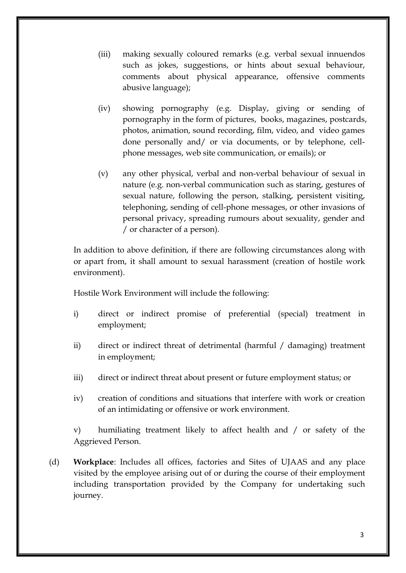- (iii) making sexually coloured remarks (e.g. verbal sexual innuendos such as jokes, suggestions, or hints about sexual behaviour, comments about physical appearance, offensive comments abusive language);
- (iv) showing pornography (e.g. Display, giving or sending of pornography in the form of pictures, books, magazines, postcards, photos, animation, sound recording, film, video, and video games done personally and/ or via documents, or by telephone, cellphone messages, web site communication, or emails); or
- (v) any other physical, verbal and non-verbal behaviour of sexual in nature (e.g. non-verbal communication such as staring, gestures of sexual nature, following the person, stalking, persistent visiting, telephoning, sending of cell-phone messages, or other invasions of personal privacy, spreading rumours about sexuality, gender and / or character of a person).

In addition to above definition, if there are following circumstances along with or apart from, it shall amount to sexual harassment (creation of hostile work environment).

Hostile Work Environment will include the following:

- i) direct or indirect promise of preferential (special) treatment in employment;
- ii) direct or indirect threat of detrimental (harmful / damaging) treatment in employment;
- iii) direct or indirect threat about present or future employment status; or
- iv) creation of conditions and situations that interfere with work or creation of an intimidating or offensive or work environment.

v) humiliating treatment likely to affect health and / or safety of the Aggrieved Person.

(d) **Workplace**: Includes all offices, factories and Sites of UJAAS and any place visited by the employee arising out of or during the course of their employment including transportation provided by the Company for undertaking such journey.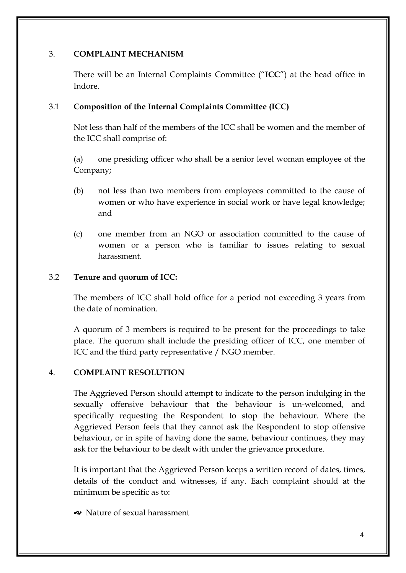# 3. **COMPLAINT MECHANISM**

There will be an Internal Complaints Committee ("**ICC**") at the head office in Indore.

# 3.1 **Composition of the Internal Complaints Committee (ICC)**

Not less than half of the members of the ICC shall be women and the member of the ICC shall comprise of:

(a) one presiding officer who shall be a senior level woman employee of the Company;

- (b) not less than two members from employees committed to the cause of women or who have experience in social work or have legal knowledge; and
- (c) one member from an NGO or association committed to the cause of women or a person who is familiar to issues relating to sexual harassment.

# 3.2 **Tenure and quorum of ICC:**

The members of ICC shall hold office for a period not exceeding 3 years from the date of nomination.

A quorum of 3 members is required to be present for the proceedings to take place. The quorum shall include the presiding officer of ICC, one member of ICC and the third party representative / NGO member.

# 4. **COMPLAINT RESOLUTION**

The Aggrieved Person should attempt to indicate to the person indulging in the sexually offensive behaviour that the behaviour is un-welcomed, and specifically requesting the Respondent to stop the behaviour. Where the Aggrieved Person feels that they cannot ask the Respondent to stop offensive behaviour, or in spite of having done the same, behaviour continues, they may ask for the behaviour to be dealt with under the grievance procedure.

It is important that the Aggrieved Person keeps a written record of dates, times, details of the conduct and witnesses, if any. Each complaint should at the minimum be specific as to:

] Nature of sexual harassment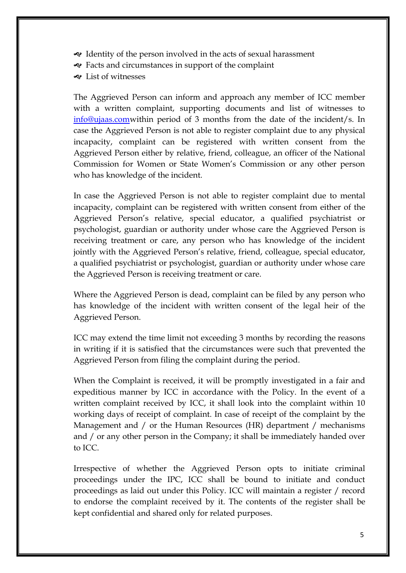- $\triangleleft$  Identity of the person involved in the acts of sexual harassment
- $\triangleleft$  Facts and circumstances in support of the complaint
- $\triangleleft$  List of witnesses

The Aggrieved Person can inform and approach any member of ICC member with a written complaint, supporting documents and list of witnesses to info@ujaas.comwithin period of 3 months from the date of the incident/s. In case the Aggrieved Person is not able to register complaint due to any physical incapacity, complaint can be registered with written consent from the Aggrieved Person either by relative, friend, colleague, an officer of the National Commission for Women or State Women's Commission or any other person who has knowledge of the incident.

In case the Aggrieved Person is not able to register complaint due to mental incapacity, complaint can be registered with written consent from either of the Aggrieved Person's relative, special educator, a qualified psychiatrist or psychologist, guardian or authority under whose care the Aggrieved Person is receiving treatment or care, any person who has knowledge of the incident jointly with the Aggrieved Person's relative, friend, colleague, special educator, a qualified psychiatrist or psychologist, guardian or authority under whose care the Aggrieved Person is receiving treatment or care.

Where the Aggrieved Person is dead, complaint can be filed by any person who has knowledge of the incident with written consent of the legal heir of the Aggrieved Person.

ICC may extend the time limit not exceeding 3 months by recording the reasons in writing if it is satisfied that the circumstances were such that prevented the Aggrieved Person from filing the complaint during the period.

When the Complaint is received, it will be promptly investigated in a fair and expeditious manner by ICC in accordance with the Policy. In the event of a written complaint received by ICC, it shall look into the complaint within 10 working days of receipt of complaint. In case of receipt of the complaint by the Management and / or the Human Resources (HR) department / mechanisms and / or any other person in the Company; it shall be immediately handed over to ICC.

Irrespective of whether the Aggrieved Person opts to initiate criminal proceedings under the IPC, ICC shall be bound to initiate and conduct proceedings as laid out under this Policy. ICC will maintain a register / record to endorse the complaint received by it. The contents of the register shall be kept confidential and shared only for related purposes.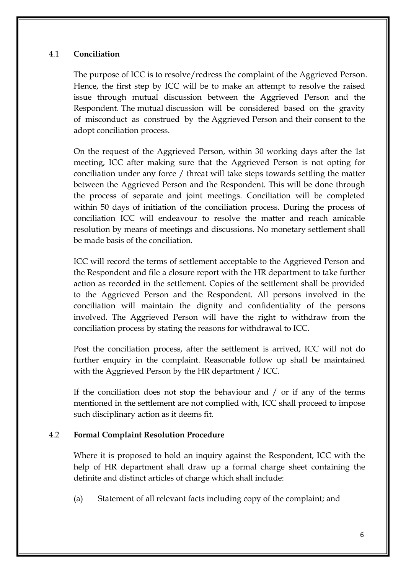# 4.1 **Conciliation**

The purpose of ICC is to resolve/redress the complaint of the Aggrieved Person. Hence, the first step by ICC will be to make an attempt to resolve the raised issue through mutual discussion between the Aggrieved Person and the Respondent. The mutual discussion will be considered based on the gravity of misconduct as construed by the Aggrieved Person and their consent to the adopt conciliation process.

On the request of the Aggrieved Person, within 30 working days after the 1st meeting, ICC after making sure that the Aggrieved Person is not opting for conciliation under any force / threat will take steps towards settling the matter between the Aggrieved Person and the Respondent. This will be done through the process of separate and joint meetings. Conciliation will be completed within 50 days of initiation of the conciliation process. During the process of conciliation ICC will endeavour to resolve the matter and reach amicable resolution by means of meetings and discussions. No monetary settlement shall be made basis of the conciliation.

ICC will record the terms of settlement acceptable to the Aggrieved Person and the Respondent and file a closure report with the HR department to take further action as recorded in the settlement. Copies of the settlement shall be provided to the Aggrieved Person and the Respondent. All persons involved in the conciliation will maintain the dignity and confidentiality of the persons involved. The Aggrieved Person will have the right to withdraw from the conciliation process by stating the reasons for withdrawal to ICC.

Post the conciliation process, after the settlement is arrived, ICC will not do further enquiry in the complaint. Reasonable follow up shall be maintained with the Aggrieved Person by the HR department / ICC.

If the conciliation does not stop the behaviour and / or if any of the terms mentioned in the settlement are not complied with, ICC shall proceed to impose such disciplinary action as it deems fit.

# 4.2 **Formal Complaint Resolution Procedure**

Where it is proposed to hold an inquiry against the Respondent, ICC with the help of HR department shall draw up a formal charge sheet containing the definite and distinct articles of charge which shall include:

(a) Statement of all relevant facts including copy of the complaint; and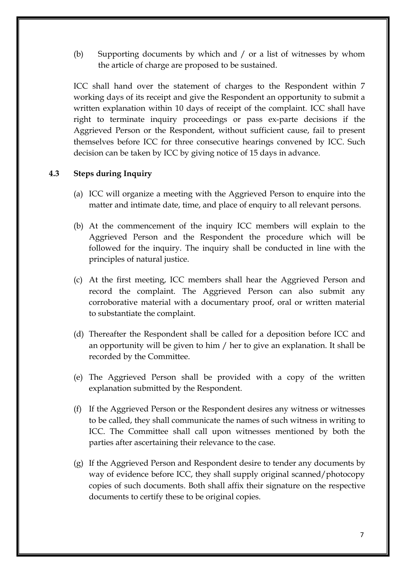(b) Supporting documents by which and / or a list of witnesses by whom the article of charge are proposed to be sustained.

ICC shall hand over the statement of charges to the Respondent within 7 working days of its receipt and give the Respondent an opportunity to submit a written explanation within 10 days of receipt of the complaint. ICC shall have right to terminate inquiry proceedings or pass ex-parte decisions if the Aggrieved Person or the Respondent, without sufficient cause, fail to present themselves before ICC for three consecutive hearings convened by ICC. Such decision can be taken by ICC by giving notice of 15 days in advance.

## **4.3 Steps during Inquiry**

- (a) ICC will organize a meeting with the Aggrieved Person to enquire into the matter and intimate date, time, and place of enquiry to all relevant persons.
- (b) At the commencement of the inquiry ICC members will explain to the Aggrieved Person and the Respondent the procedure which will be followed for the inquiry. The inquiry shall be conducted in line with the principles of natural justice.
- (c) At the first meeting, ICC members shall hear the Aggrieved Person and record the complaint. The Aggrieved Person can also submit any corroborative material with a documentary proof, oral or written material to substantiate the complaint.
- (d) Thereafter the Respondent shall be called for a deposition before ICC and an opportunity will be given to him / her to give an explanation. It shall be recorded by the Committee.
- (e) The Aggrieved Person shall be provided with a copy of the written explanation submitted by the Respondent.
- (f) If the Aggrieved Person or the Respondent desires any witness or witnesses to be called, they shall communicate the names of such witness in writing to ICC. The Committee shall call upon witnesses mentioned by both the parties after ascertaining their relevance to the case.
- (g) If the Aggrieved Person and Respondent desire to tender any documents by way of evidence before ICC, they shall supply original scanned/photocopy copies of such documents. Both shall affix their signature on the respective documents to certify these to be original copies.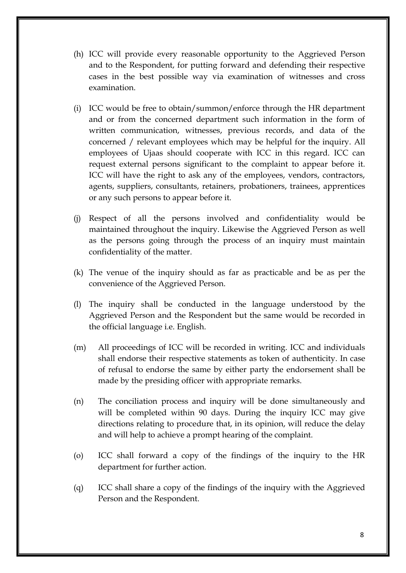- (h) ICC will provide every reasonable opportunity to the Aggrieved Person and to the Respondent, for putting forward and defending their respective cases in the best possible way via examination of witnesses and cross examination.
- (i) ICC would be free to obtain/summon/enforce through the HR department and or from the concerned department such information in the form of written communication, witnesses, previous records, and data of the concerned / relevant employees which may be helpful for the inquiry. All employees of Ujaas should cooperate with ICC in this regard. ICC can request external persons significant to the complaint to appear before it. ICC will have the right to ask any of the employees, vendors, contractors, agents, suppliers, consultants, retainers, probationers, trainees, apprentices or any such persons to appear before it.
- (j) Respect of all the persons involved and confidentiality would be maintained throughout the inquiry. Likewise the Aggrieved Person as well as the persons going through the process of an inquiry must maintain confidentiality of the matter.
- (k) The venue of the inquiry should as far as practicable and be as per the convenience of the Aggrieved Person.
- (l) The inquiry shall be conducted in the language understood by the Aggrieved Person and the Respondent but the same would be recorded in the official language i.e. English.
- (m) All proceedings of ICC will be recorded in writing. ICC and individuals shall endorse their respective statements as token of authenticity. In case of refusal to endorse the same by either party the endorsement shall be made by the presiding officer with appropriate remarks.
- (n) The conciliation process and inquiry will be done simultaneously and will be completed within 90 days. During the inquiry ICC may give directions relating to procedure that, in its opinion, will reduce the delay and will help to achieve a prompt hearing of the complaint.
- (o) ICC shall forward a copy of the findings of the inquiry to the HR department for further action.
- (q) ICC shall share a copy of the findings of the inquiry with the Aggrieved Person and the Respondent.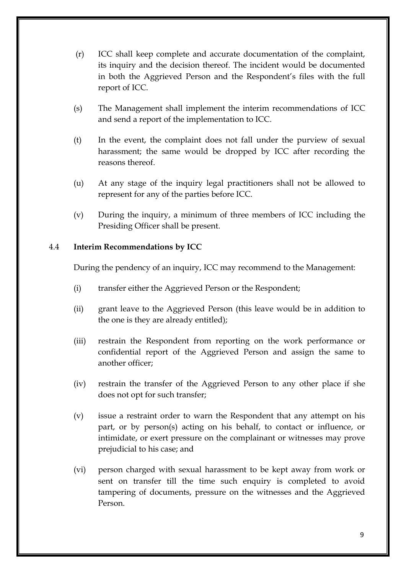- (r) ICC shall keep complete and accurate documentation of the complaint, its inquiry and the decision thereof. The incident would be documented in both the Aggrieved Person and the Respondent's files with the full report of ICC.
- (s) The Management shall implement the interim recommendations of ICC and send a report of the implementation to ICC.
- (t) In the event, the complaint does not fall under the purview of sexual harassment; the same would be dropped by ICC after recording the reasons thereof.
- (u) At any stage of the inquiry legal practitioners shall not be allowed to represent for any of the parties before ICC.
- (v) During the inquiry, a minimum of three members of ICC including the Presiding Officer shall be present.

# 4.4 **Interim Recommendations by ICC**

During the pendency of an inquiry, ICC may recommend to the Management:

- (i) transfer either the Aggrieved Person or the Respondent;
- (ii) grant leave to the Aggrieved Person (this leave would be in addition to the one is they are already entitled);
- (iii) restrain the Respondent from reporting on the work performance or confidential report of the Aggrieved Person and assign the same to another officer;
- (iv) restrain the transfer of the Aggrieved Person to any other place if she does not opt for such transfer;
- (v) issue a restraint order to warn the Respondent that any attempt on his part, or by person(s) acting on his behalf, to contact or influence, or intimidate, or exert pressure on the complainant or witnesses may prove prejudicial to his case; and
- (vi) person charged with sexual harassment to be kept away from work or sent on transfer till the time such enquiry is completed to avoid tampering of documents, pressure on the witnesses and the Aggrieved Person.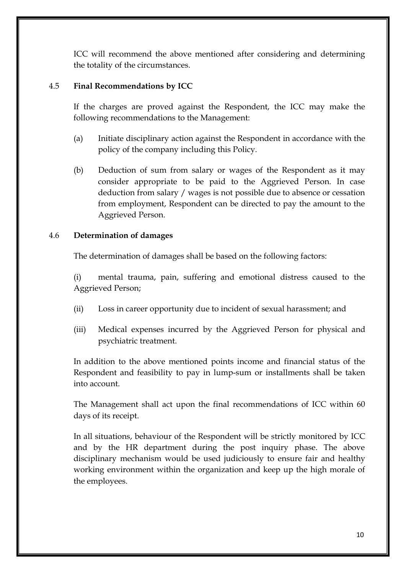ICC will recommend the above mentioned after considering and determining the totality of the circumstances.

# 4.5 **Final Recommendations by ICC**

If the charges are proved against the Respondent, the ICC may make the following recommendations to the Management:

- (a) Initiate disciplinary action against the Respondent in accordance with the policy of the company including this Policy.
- (b) Deduction of sum from salary or wages of the Respondent as it may consider appropriate to be paid to the Aggrieved Person. In case deduction from salary / wages is not possible due to absence or cessation from employment, Respondent can be directed to pay the amount to the Aggrieved Person.

#### 4.6 **Determination of damages**

The determination of damages shall be based on the following factors:

(i) mental trauma, pain, suffering and emotional distress caused to the Aggrieved Person;

- (ii) Loss in career opportunity due to incident of sexual harassment; and
- (iii) Medical expenses incurred by the Aggrieved Person for physical and psychiatric treatment.

In addition to the above mentioned points income and financial status of the Respondent and feasibility to pay in lump-sum or installments shall be taken into account.

The Management shall act upon the final recommendations of ICC within 60 days of its receipt.

In all situations, behaviour of the Respondent will be strictly monitored by ICC and by the HR department during the post inquiry phase. The above disciplinary mechanism would be used judiciously to ensure fair and healthy working environment within the organization and keep up the high morale of the employees.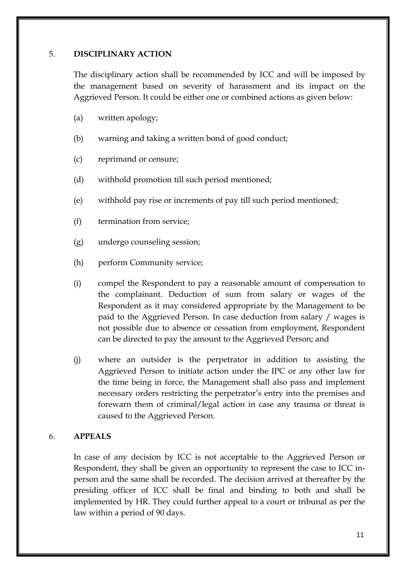#### 5. **DISCIPLINARY ACTION**

The disciplinary action shall be recommended by ICC and will be imposed by the management based on severity of harassment and its impact on the Aggrieved Person. It could be either one or combined actions as given below:

- (a) written apology;
- (b) warning and taking a written bond of good conduct;
- (c) reprimand or censure;
- (d) withhold promotion till such period mentioned;
- (e) withhold pay rise or increments of pay till such period mentioned;
- (f) termination from service;
- (g) undergo counseling session;
- (h) perform Community service;
- (i) compel the Respondent to pay a reasonable amount of compensation to the complainant. Deduction of sum from salary or wages of the Respondent as it may considered appropriate by the Management to be paid to the Aggrieved Person. In case deduction from salary / wages is not possible due to absence or cessation from employment, Respondent can be directed to pay the amount to the Aggrieved Person; and
- (j) where an outsider is the perpetrator in addition to assisting the Aggrieved Person to initiate action under the IPC or any other law for the time being in force, the Management shall also pass and implement necessary orders restricting the perpetrator's entry into the premises and forewarn them of criminal/legal action in case any trauma or threat is caused to the Aggrieved Person.

#### 6. **APPEALS**

In case of any decision by ICC is not acceptable to the Aggrieved Person or Respondent, they shall be given an opportunity to represent the case to ICC inperson and the same shall be recorded. The decision arrived at thereafter by the presiding officer of ICC shall be final and binding to both and shall be implemented by HR. They could further appeal to a court or tribunal as per the law within a period of 90 days.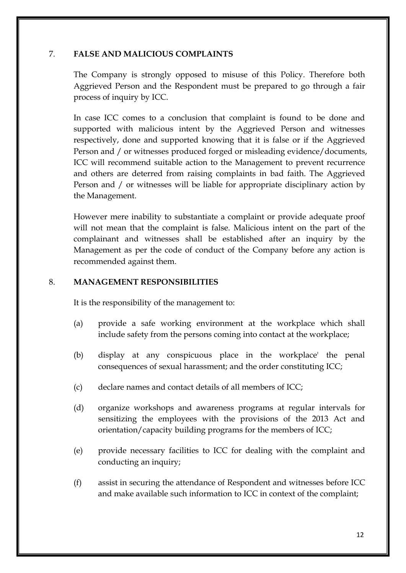# 7. **FALSE AND MALICIOUS COMPLAINTS**

The Company is strongly opposed to misuse of this Policy. Therefore both Aggrieved Person and the Respondent must be prepared to go through a fair process of inquiry by ICC.

In case ICC comes to a conclusion that complaint is found to be done and supported with malicious intent by the Aggrieved Person and witnesses respectively, done and supported knowing that it is false or if the Aggrieved Person and / or witnesses produced forged or misleading evidence/documents, ICC will recommend suitable action to the Management to prevent recurrence and others are deterred from raising complaints in bad faith. The Aggrieved Person and / or witnesses will be liable for appropriate disciplinary action by the Management.

However mere inability to substantiate a complaint or provide adequate proof will not mean that the complaint is false. Malicious intent on the part of the complainant and witnesses shall be established after an inquiry by the Management as per the code of conduct of the Company before any action is recommended against them.

## 8. **MANAGEMENT RESPONSIBILITIES**

It is the responsibility of the management to:

- (a) provide a safe working environment at the workplace which shall include safety from the persons coming into contact at the workplace;
- (b) display at any conspicuous place in the workplace' the penal consequences of sexual harassment; and the order constituting ICC;
- (c) declare names and contact details of all members of ICC;
- (d) organize workshops and awareness programs at regular intervals for sensitizing the employees with the provisions of the 2013 Act and orientation/capacity building programs for the members of ICC;
- (e) provide necessary facilities to ICC for dealing with the complaint and conducting an inquiry;
- (f) assist in securing the attendance of Respondent and witnesses before ICC and make available such information to ICC in context of the complaint;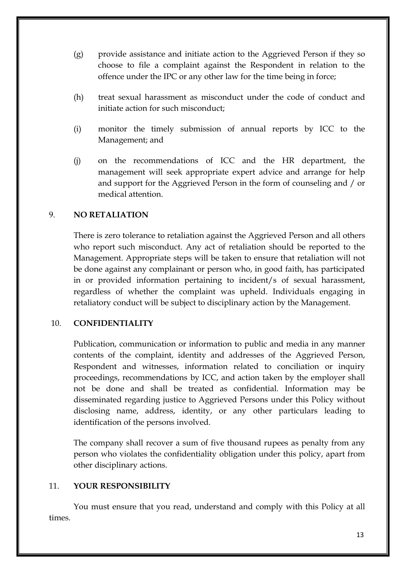- (g) provide assistance and initiate action to the Aggrieved Person if they so choose to file a complaint against the Respondent in relation to the offence under the IPC or any other law for the time being in force;
- (h) treat sexual harassment as misconduct under the code of conduct and initiate action for such misconduct;
- (i) monitor the timely submission of annual reports by ICC to the Management; and
- (j) on the recommendations of ICC and the HR department, the management will seek appropriate expert advice and arrange for help and support for the Aggrieved Person in the form of counseling and / or medical attention.

#### 9. **NO RETALIATION**

There is zero tolerance to retaliation against the Aggrieved Person and all others who report such misconduct. Any act of retaliation should be reported to the Management. Appropriate steps will be taken to ensure that retaliation will not be done against any complainant or person who, in good faith, has participated in or provided information pertaining to incident/s of sexual harassment, regardless of whether the complaint was upheld. Individuals engaging in retaliatory conduct will be subject to disciplinary action by the Management.

#### 10. **CONFIDENTIALITY**

Publication, communication or information to public and media in any manner contents of the complaint, identity and addresses of the Aggrieved Person, Respondent and witnesses, information related to conciliation or inquiry proceedings, recommendations by ICC, and action taken by the employer shall not be done and shall be treated as confidential. Information may be disseminated regarding justice to Aggrieved Persons under this Policy without disclosing name, address, identity, or any other particulars leading to identification of the persons involved.

The company shall recover a sum of five thousand rupees as penalty from any person who violates the confidentiality obligation under this policy, apart from other disciplinary actions.

#### 11. **YOUR RESPONSIBILITY**

You must ensure that you read, understand and comply with this Policy at all times.